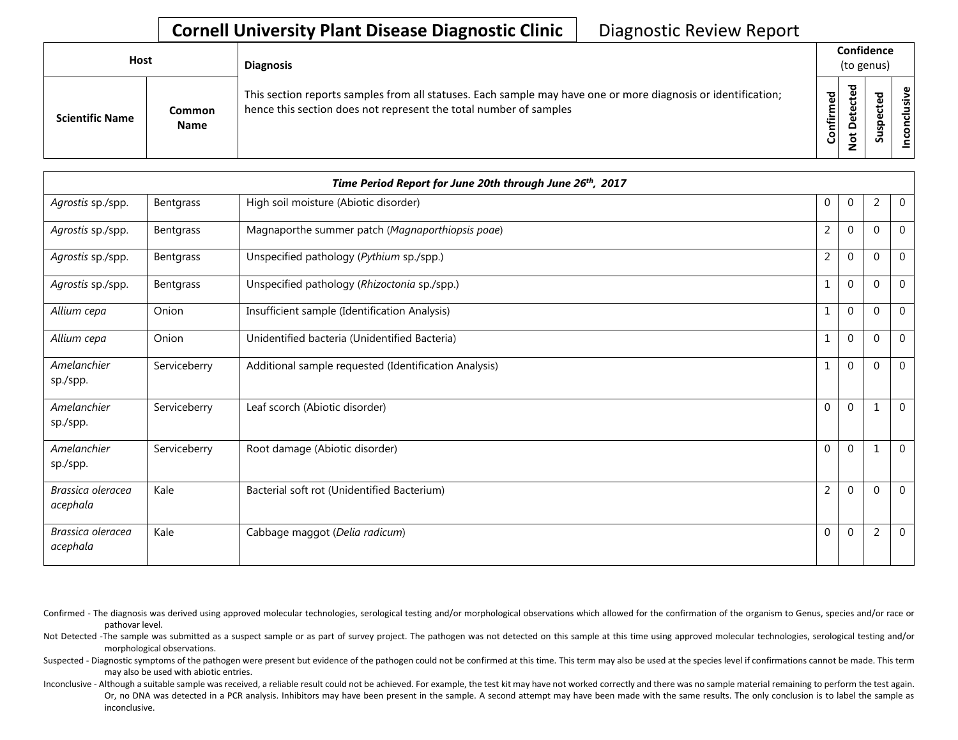| <b>Host</b>            |                       | <b>Diagnosis</b>                                                                                                                                                                   |           | Confidence<br>(to genus)               |   |                        |  |  |
|------------------------|-----------------------|------------------------------------------------------------------------------------------------------------------------------------------------------------------------------------|-----------|----------------------------------------|---|------------------------|--|--|
| <b>Scientific Name</b> | Common<br><b>Name</b> | This section reports samples from all statuses. Each sample may have one or more diagnosis or identification;<br>hence this section does not represent the total number of samples | Confirmed | ᇃ<br>ن<br>Φ<br>یو<br>$\circ$<br>پ<br>z | ທ | Φ<br>usiv<br>᠊ᠣ<br>ဒ္မ |  |  |

|                               |              | Time Period Report for June 20th through June 26th, 2017 |                |              |                |                |
|-------------------------------|--------------|----------------------------------------------------------|----------------|--------------|----------------|----------------|
| Agrostis sp./spp.             | Bentgrass    | High soil moisture (Abiotic disorder)                    | 0              | $\mathbf 0$  | $\overline{2}$ | $\mathbf 0$    |
| Agrostis sp./spp.             | Bentgrass    | Magnaporthe summer patch (Magnaporthiopsis poae)         | $\overline{2}$ | $\Omega$     | $\Omega$       | $\mathbf 0$    |
| Agrostis sp./spp.             | Bentgrass    | Unspecified pathology (Pythium sp./spp.)                 | $\overline{2}$ | $\Omega$     | $\Omega$       | $\Omega$       |
| Agrostis sp./spp.             | Bentgrass    | Unspecified pathology (Rhizoctonia sp./spp.)             |                | $\Omega$     | $\mathbf{0}$   | $\mathbf 0$    |
| Allium cepa                   | Onion        | Insufficient sample (Identification Analysis)            |                | $\mathbf 0$  | $\Omega$       | $\mathbf 0$    |
| Allium cepa                   | Onion        | Unidentified bacteria (Unidentified Bacteria)            |                | $\mathbf 0$  | $\mathbf{0}$   | $\overline{0}$ |
| Amelanchier<br>sp./spp.       | Serviceberry | Additional sample requested (Identification Analysis)    |                | $\Omega$     | $\Omega$       | $\overline{0}$ |
| Amelanchier<br>sp./spp.       | Serviceberry | Leaf scorch (Abiotic disorder)                           | $\Omega$       | $\mathbf{0}$ | 1              | $\overline{0}$ |
| Amelanchier<br>sp./spp.       | Serviceberry | Root damage (Abiotic disorder)                           | 0              | $\mathbf 0$  |                | $\mathbf 0$    |
| Brassica oleracea<br>acephala | Kale         | Bacterial soft rot (Unidentified Bacterium)              | $\overline{2}$ | $\mathbf 0$  | $\Omega$       | $\Omega$       |
| Brassica oleracea<br>acephala | Kale         | Cabbage maggot (Delia radicum)                           | $\Omega$       | $\mathbf 0$  | $\overline{2}$ | $\mathbf 0$    |

Confirmed - The diagnosis was derived using approved molecular technologies, serological testing and/or morphological observations which allowed for the confirmation of the organism to Genus, species and/or race or pathovar level.

Not Detected -The sample was submitted as a suspect sample or as part of survey project. The pathogen was not detected on this sample at this time using approved molecular technologies, serological testing and/or morphological observations.

Suspected - Diagnostic symptoms of the pathogen were present but evidence of the pathogen could not be confirmed at this time. This term may also be used at the species level if confirmations cannot be made. This term may also be used with abiotic entries.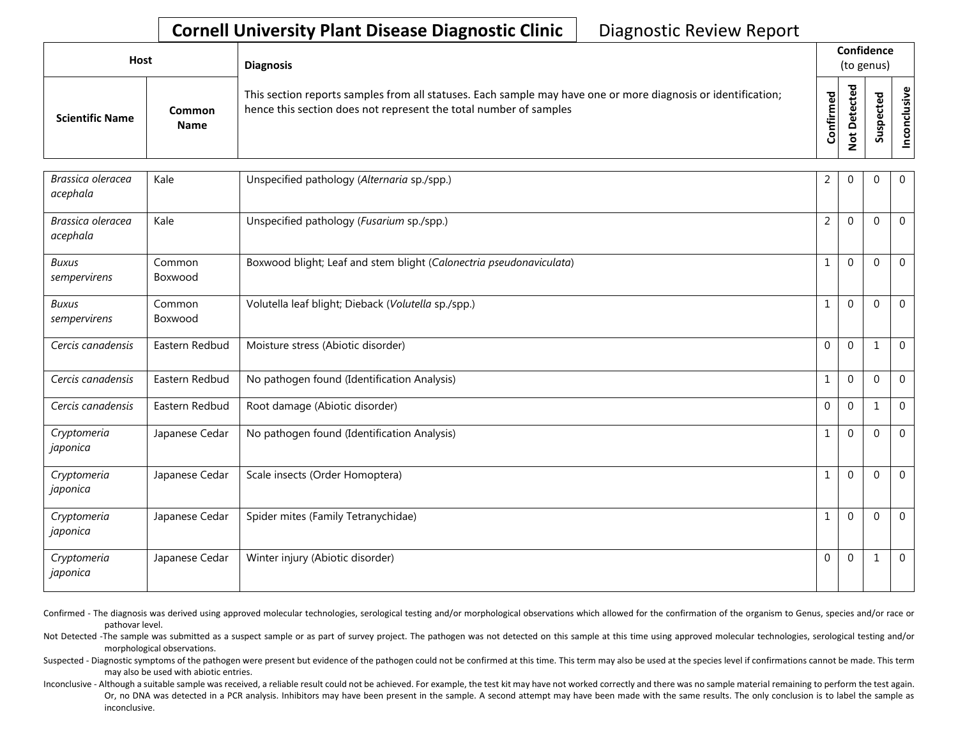| Host                   |                       | <b>Diagnosis</b>                                                                                                                                                                   |           |              | Confidence<br>(to genus) |  |
|------------------------|-----------------------|------------------------------------------------------------------------------------------------------------------------------------------------------------------------------------|-----------|--------------|--------------------------|--|
| <b>Scientific Name</b> | Common<br><b>Name</b> | This section reports samples from all statuses. Each sample may have one or more diagnosis or identification;<br>hence this section does not represent the total number of samples | Confirmed | ᇃ<br>ο<br>سە | ъ<br>w<br>n              |  |

| Brassica oleracea<br>acephala | Kale              | Unspecified pathology (Alternaria sp./spp.)                         | 2              | $\mathbf 0$  | 0            | 0              |
|-------------------------------|-------------------|---------------------------------------------------------------------|----------------|--------------|--------------|----------------|
| Brassica oleracea<br>acephala | Kale              | Unspecified pathology (Fusarium sp./spp.)                           | $\overline{2}$ | $\mathbf{0}$ | $\Omega$     | 0              |
| <b>Buxus</b><br>sempervirens  | Common<br>Boxwood | Boxwood blight; Leaf and stem blight (Calonectria pseudonaviculata) |                | $\mathbf 0$  | $\Omega$     | $\overline{0}$ |
| Buxus<br>sempervirens         | Common<br>Boxwood | Volutella leaf blight; Dieback (Volutella sp./spp.)                 |                | $\mathbf{0}$ | $\Omega$     | $\mathbf 0$    |
| Cercis canadensis             | Eastern Redbud    | Moisture stress (Abiotic disorder)                                  | $\mathbf{0}$   | $\mathbf{0}$ | $\mathbf{1}$ | 0              |
| Cercis canadensis             | Eastern Redbud    | No pathogen found (Identification Analysis)                         |                | $\mathbf{0}$ | $\mathbf 0$  | $\mathbf 0$    |
| Cercis canadensis             | Eastern Redbud    | Root damage (Abiotic disorder)                                      | $\Omega$       | $\mathbf{0}$ | $\mathbf{1}$ | $\mathbf 0$    |
| Cryptomeria<br>japonica       | Japanese Cedar    | No pathogen found (Identification Analysis)                         |                | $\mathbf{0}$ | $\Omega$     | $\overline{0}$ |
| Cryptomeria<br>japonica       | Japanese Cedar    | Scale insects (Order Homoptera)                                     |                | $\mathbf 0$  | $\Omega$     | $\mathbf 0$    |
| Cryptomeria<br>japonica       | Japanese Cedar    | Spider mites (Family Tetranychidae)                                 |                | $\mathbf{0}$ | 0            | 0              |
| Cryptomeria<br>japonica       | Japanese Cedar    | Winter injury (Abiotic disorder)                                    | $\mathbf 0$    | $\mathbf{0}$ | 1            | $\mathbf 0$    |

Confirmed - The diagnosis was derived using approved molecular technologies, serological testing and/or morphological observations which allowed for the confirmation of the organism to Genus, species and/or race or pathovar level.

Not Detected -The sample was submitted as a suspect sample or as part of survey project. The pathogen was not detected on this sample at this time using approved molecular technologies, serological testing and/or morphological observations.

Suspected - Diagnostic symptoms of the pathogen were present but evidence of the pathogen could not be confirmed at this time. This term may also be used at the species level if confirmations cannot be made. This term may also be used with abiotic entries.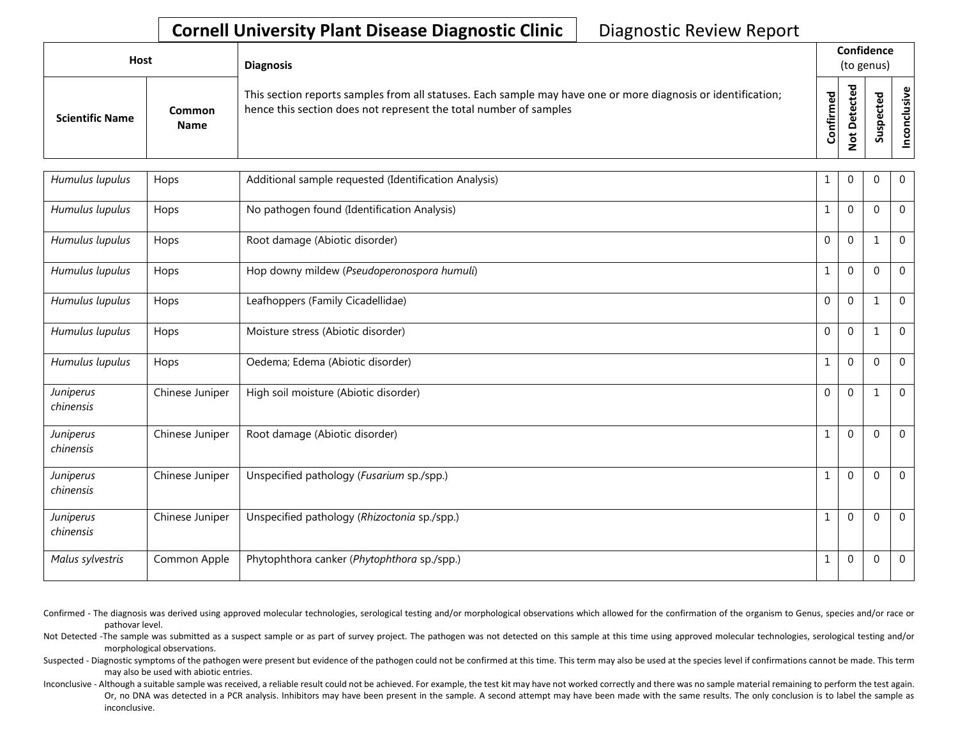| Host                   |                       | <b>Diagnosis</b>                                                                                                                                                                   |           |        | Confidence<br>(to genus) |                                       |  |
|------------------------|-----------------------|------------------------------------------------------------------------------------------------------------------------------------------------------------------------------------|-----------|--------|--------------------------|---------------------------------------|--|
| <b>Scientific Name</b> | Common<br><b>Name</b> | This section reports samples from all statuses. Each sample may have one or more diagnosis or identification;<br>hence this section does not represent the total number of samples | Confirmed | ਨ<br>≏ | s                        | $\mathbf \omega$<br>.≥<br>š<br>ಕ<br>g |  |

| Humulus lupulus        | Hops            | Additional sample requested (Identification Analysis) | 1            | 0            | 0            | $\overline{0}$ |
|------------------------|-----------------|-------------------------------------------------------|--------------|--------------|--------------|----------------|
| Humulus lupulus        | Hops            | No pathogen found (Identification Analysis)           | 1            | $\mathbf{0}$ | $\mathbf 0$  | $\overline{0}$ |
| Humulus lupulus        | Hops            | Root damage (Abiotic disorder)                        | $\mathbf 0$  | $\mathbf{0}$ | $\mathbf 1$  | $\overline{0}$ |
| Humulus lupulus        | Hops            | Hop downy mildew (Pseudoperonospora humuli)           | $\mathbf{1}$ | $\mathbf{0}$ | $\mathbf 0$  | $\overline{0}$ |
| Humulus lupulus        | Hops            | Leafhoppers (Family Cicadellidae)                     | $\mathbf 0$  | $\mathbf{0}$ | $\mathbf{1}$ | $\overline{0}$ |
| Humulus lupulus        | Hops            | Moisture stress (Abiotic disorder)                    | $\mathbf{0}$ | $\mathbf{0}$ | $\mathbf{1}$ | $\overline{0}$ |
| Humulus lupulus        | Hops            | Oedema; Edema (Abiotic disorder)                      | $\mathbf{1}$ | $\mathbf{0}$ | $\mathbf 0$  | $\mathbf 0$    |
| Juniperus<br>chinensis | Chinese Juniper | High soil moisture (Abiotic disorder)                 | $\mathbf{0}$ | $\mathbf 0$  | $\mathbf 1$  | $\overline{0}$ |
| Juniperus<br>chinensis | Chinese Juniper | Root damage (Abiotic disorder)                        | $\mathbf{1}$ | $\mathbf{0}$ | $\Omega$     | $\overline{0}$ |
| Juniperus<br>chinensis | Chinese Juniper | Unspecified pathology (Fusarium sp./spp.)             | $\mathbf{1}$ | $\mathbf 0$  | $\Omega$     | $\overline{0}$ |
| Juniperus<br>chinensis | Chinese Juniper | Unspecified pathology (Rhizoctonia sp./spp.)          | $\mathbf{1}$ | $\mathbf 0$  | $\Omega$     | $\overline{0}$ |
| Malus sylvestris       | Common Apple    | Phytophthora canker (Phytophthora sp./spp.)           | 1            | $\mathbf{0}$ | $\mathbf 0$  | $\overline{0}$ |

- Confirmed The diagnosis was derived using approved molecular technologies, serological testing and/or morphological observations which allowed for the confirmation of the organism to Genus, species and/or race or pathovar level.
- Not Detected -The sample was submitted as a suspect sample or as part of survey project. The pathogen was not detected on this sample at this time using approved molecular technologies, serological testing and/or morphological observations.
- Suspected Diagnostic symptoms of the pathogen were present but evidence of the pathogen could not be confirmed at this time. This term may also be used at the species level if confirmations cannot be made. This term may also be used with abiotic entries.
- Inconclusive Although a suitable sample was received, a reliable result could not be achieved. For example, the test kit may have not worked correctly and there was no sample material remaining to perform the test again. Or, no DNA was detected in a PCR analysis. Inhibitors may have been present in the sample. A second attempt may have been made with the same results. The only conclusion is to label the sample as inconclusive.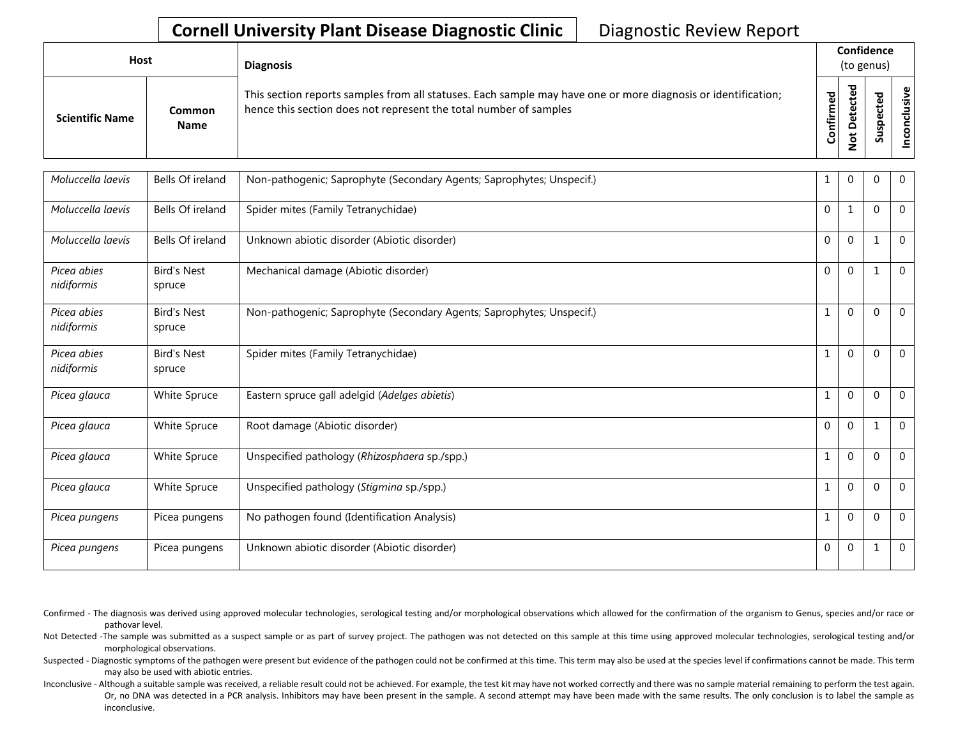| Host                   |                       | <b>Diagnosis</b>                                                                                                                                                                   |                    | Confidence<br>(to genus) |   |            |  |  |
|------------------------|-----------------------|------------------------------------------------------------------------------------------------------------------------------------------------------------------------------------|--------------------|--------------------------|---|------------|--|--|
| <b>Scientific Name</b> | Common<br><b>Name</b> | This section reports samples from all statuses. Each sample may have one or more diagnosis or identification;<br>hence this section does not represent the total number of samples | ᇃ<br>Φ<br>Confirme | ъ                        | Ū | usive<br>8 |  |  |

| Moluccella laevis         | Bells Of ireland             | Non-pathogenic; Saprophyte (Secondary Agents; Saprophytes; Unspecif.) | 1            | 0            | 0            | $\overline{0}$ |
|---------------------------|------------------------------|-----------------------------------------------------------------------|--------------|--------------|--------------|----------------|
| Moluccella laevis         | Bells Of ireland             | Spider mites (Family Tetranychidae)                                   | $\mathbf 0$  | $\mathbf{1}$ | $\Omega$     | $\overline{0}$ |
| Moluccella laevis         | Bells Of ireland             | Unknown abiotic disorder (Abiotic disorder)                           | $\mathbf 0$  | $\mathbf 0$  | $\mathbf{1}$ | $\overline{0}$ |
| Picea abies<br>nidiformis | <b>Bird's Nest</b><br>spruce | Mechanical damage (Abiotic disorder)                                  | $\mathbf 0$  | $\mathbf{0}$ |              | $\overline{0}$ |
| Picea abies<br>nidiformis | <b>Bird's Nest</b><br>spruce | Non-pathogenic; Saprophyte (Secondary Agents; Saprophytes; Unspecif.) | $\mathbf{1}$ | $\mathbf{0}$ | $\Omega$     | $\overline{0}$ |
| Picea abies<br>nidiformis | <b>Bird's Nest</b><br>spruce | Spider mites (Family Tetranychidae)                                   | $\mathbf{1}$ | $\Omega$     | $\Omega$     | $\Omega$       |
| Picea glauca              | White Spruce                 | Eastern spruce gall adelgid (Adelges abietis)                         | $\mathbf{1}$ | $\mathbf{0}$ | $\Omega$     | $\Omega$       |
| Picea glauca              | White Spruce                 | Root damage (Abiotic disorder)                                        | $\mathbf 0$  | $\Omega$     | 1            | $\theta$       |
| Picea glauca              | White Spruce                 | Unspecified pathology (Rhizosphaera sp./spp.)                         | $\mathbf{1}$ | $\Omega$     | $\Omega$     | $\Omega$       |
| Picea glauca              | White Spruce                 | Unspecified pathology (Stigmina sp./spp.)                             | $\mathbf{1}$ | $\mathbf 0$  | $\Omega$     | $\overline{0}$ |
| Picea pungens             | Picea pungens                | No pathogen found (Identification Analysis)                           | $\mathbf{1}$ | $\mathbf{0}$ | $\mathbf{0}$ | $\overline{0}$ |
| Picea pungens             | Picea pungens                | Unknown abiotic disorder (Abiotic disorder)                           | $\mathbf 0$  | $\mathbf{0}$ | $\mathbf{1}$ | $\overline{0}$ |

Confirmed - The diagnosis was derived using approved molecular technologies, serological testing and/or morphological observations which allowed for the confirmation of the organism to Genus, species and/or race or pathovar level.

Not Detected -The sample was submitted as a suspect sample or as part of survey project. The pathogen was not detected on this sample at this time using approved molecular technologies, serological testing and/or morphological observations.

Suspected - Diagnostic symptoms of the pathogen were present but evidence of the pathogen could not be confirmed at this time. This term may also be used at the species level if confirmations cannot be made. This term may also be used with abiotic entries.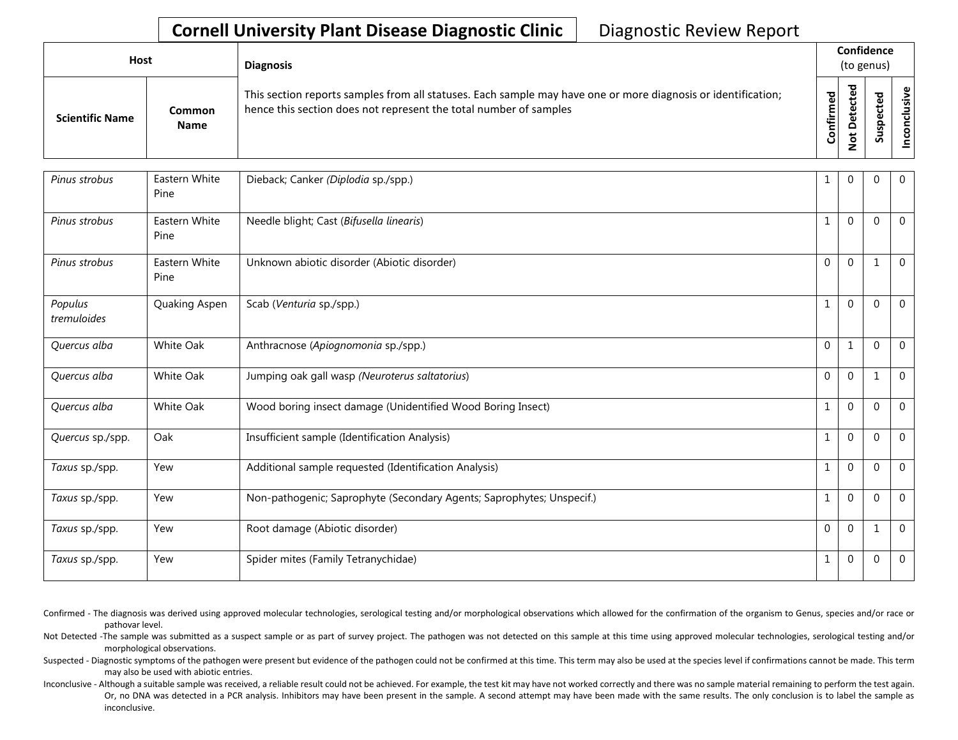| Host                   |                       | <b>Diagnosis</b>                                                                                                                                                                   |              |                                 | Confidence<br>(to genus) |                           |  |  |
|------------------------|-----------------------|------------------------------------------------------------------------------------------------------------------------------------------------------------------------------------|--------------|---------------------------------|--------------------------|---------------------------|--|--|
| <b>Scientific Name</b> | Common<br><b>Name</b> | This section reports samples from all statuses. Each sample may have one or more diagnosis or identification;<br>hence this section does not represent the total number of samples | 꾕<br>Confirm | ᇃ<br>Φ<br>Φ<br>≏<br>ى<br>o<br>- | S<br>Ū                   | $\mathbf{\omega}$<br>usiv |  |  |

| Pinus strobus          | Eastern White<br>Pine | Dieback; Canker (Diplodia sp./spp.)                                   | 1            | $\Omega$     | $\Omega$    | $\overline{0}$ |
|------------------------|-----------------------|-----------------------------------------------------------------------|--------------|--------------|-------------|----------------|
| Pinus strobus          | Eastern White<br>Pine | Needle blight; Cast (Bifusella linearis)                              | $\mathbf{1}$ | $\mathbf 0$  | $\mathbf 0$ | $\mathbf 0$    |
| Pinus strobus          | Eastern White<br>Pine | Unknown abiotic disorder (Abiotic disorder)                           | $\mathbf{0}$ | $\mathbf{0}$ |             | $\mathbf 0$    |
| Populus<br>tremuloides | Quaking Aspen         | Scab (Venturia sp./spp.)                                              | 1            | $\mathbf{0}$ | $\Omega$    | $\Omega$       |
| Quercus alba           | White Oak             | Anthracnose (Apiognomonia sp./spp.)                                   | $\mathbf 0$  | $\mathbf{1}$ | $\Omega$    | $\overline{0}$ |
| Quercus alba           | White Oak             | Jumping oak gall wasp (Neuroterus saltatorius)                        | $\mathbf 0$  | $\mathbf 0$  | 1           | $\mathbf 0$    |
| Quercus alba           | White Oak             | Wood boring insect damage (Unidentified Wood Boring Insect)           | $\mathbf{1}$ | $\mathbf{0}$ | $\Omega$    | $\overline{0}$ |
| Quercus sp./spp.       | Oak                   | Insufficient sample (Identification Analysis)                         | 1            | $\Omega$     | $\Omega$    | $\overline{0}$ |
| Taxus sp./spp.         | Yew                   | Additional sample requested (Identification Analysis)                 | $\mathbf{1}$ | $\mathbf{0}$ | $\Omega$    | $\Omega$       |
| Taxus sp./spp.         | Yew                   | Non-pathogenic; Saprophyte (Secondary Agents; Saprophytes; Unspecif.) | $\mathbf{1}$ | $\mathbf{0}$ | $\Omega$    | $\mathbf 0$    |
| Taxus sp./spp.         | Yew                   | Root damage (Abiotic disorder)                                        | $\mathbf{0}$ | $\mathbf 0$  | 1           | $\Omega$       |
| Taxus sp./spp.         | Yew                   | Spider mites (Family Tetranychidae)                                   | 1            | $\mathbf 0$  | $\mathbf 0$ | $\mathbf 0$    |

Confirmed - The diagnosis was derived using approved molecular technologies, serological testing and/or morphological observations which allowed for the confirmation of the organism to Genus, species and/or race or pathovar level.

Not Detected -The sample was submitted as a suspect sample or as part of survey project. The pathogen was not detected on this sample at this time using approved molecular technologies, serological testing and/or morphological observations.

Suspected - Diagnostic symptoms of the pathogen were present but evidence of the pathogen could not be confirmed at this time. This term may also be used at the species level if confirmations cannot be made. This term may also be used with abiotic entries.